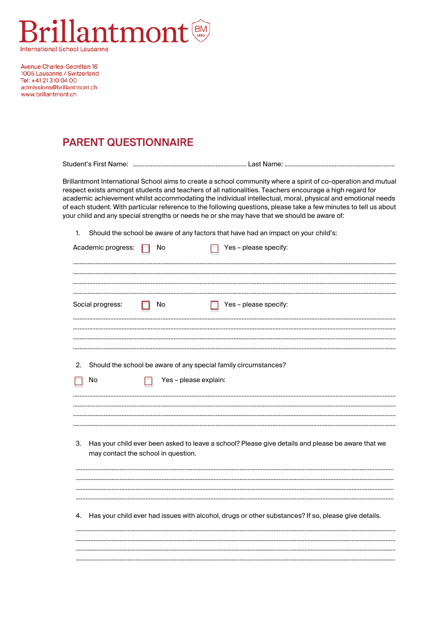

Avenue Charles-Secrétan 16 1005 Lausanne / Switzerland Tel: +41 21 310 04 00 admissions@brillantmont.ch www.brillantmont.ch

## PARENT QUESTIONNAIRE

 $\sim$ 

Student's First Name: ….………………………………………………………… Last Name: …………………………………………………………..

Brillantmont International School aims to create a school community where a spirit of co-operation and mutual respect exists amongst students and teachers of all nationalities. Teachers encourage a high regard for academic achievement whilst accommodating the individual intellectual, moral, physical and emotional needs of each student. With particular reference to the following questions, please take a few minutes to tell us about your child and any special strengths or needs he or she may have that we should be aware of:

 $\ddot{\phantom{a}}$ 

1. Should the school be aware of any factors that have had an impact on your child's:

| Academic progress: | <b>No</b>                           | Yes – please specity:                                           |                                                                                                     |
|--------------------|-------------------------------------|-----------------------------------------------------------------|-----------------------------------------------------------------------------------------------------|
| Social progress:   | No                                  | Yes - please specify:                                           |                                                                                                     |
| 2.<br>No           | Yes - please explain:               | Should the school be aware of any special family circumstances? |                                                                                                     |
| 3.                 | may contact the school in question. |                                                                 | Has your child ever been asked to leave a school? Please give details and please be aware that we   |
| 4.                 |                                     |                                                                 | Has your child ever had issues with alcohol, drugs or other substances? If so, please give details. |